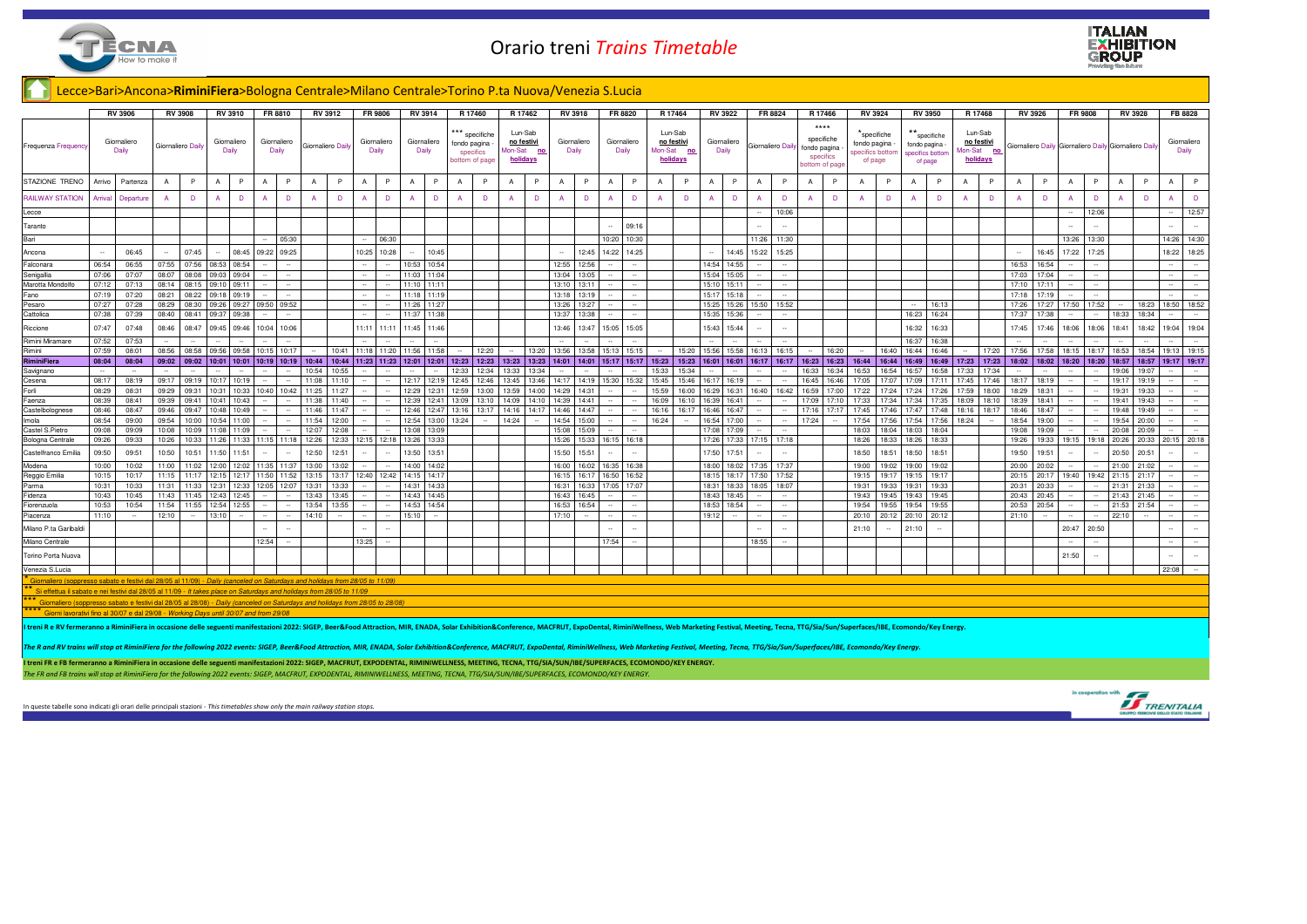

## Orario treni Trains Timetable



## Lecce>Bari>Ancona>RiminiFiera>Bologna Centrale>Milano Centrale>Torino P.ta Nuova/Venezia S.Lucia

|                                                                                                                                                                                                                                                       | <b>RV 3906</b>       |                | <b>RV 3908</b>    |                                                    | <b>RV 3910</b>           |                   | FR 8810              |                                     | <b>RV 3912</b>    |                | <b>FR 9806</b>            | <b>RV 3914</b>                | R 17460                                                         |                                                                                                                                                                                                                               | R 17462        |                         | <b>RV 3918</b> |                                    | FR 8820      |                | R 17464                           | <b>RV 3922</b>                   | FR 8824           |        | R 17466                                                            |                | <b>RV 3924</b>                                           |                            | <b>RV 3950</b>                                                | R 17468                           |                | <b>RV 3926</b>                                        | FR 9808                  |        | <b>RV 3928</b>                                        |                          | FB 8828              |
|-------------------------------------------------------------------------------------------------------------------------------------------------------------------------------------------------------------------------------------------------------|----------------------|----------------|-------------------|----------------------------------------------------|--------------------------|-------------------|----------------------|-------------------------------------|-------------------|----------------|---------------------------|-------------------------------|-----------------------------------------------------------------|-------------------------------------------------------------------------------------------------------------------------------------------------------------------------------------------------------------------------------|----------------|-------------------------|----------------|------------------------------------|--------------|----------------|-----------------------------------|----------------------------------|-------------------|--------|--------------------------------------------------------------------|----------------|----------------------------------------------------------|----------------------------|---------------------------------------------------------------|-----------------------------------|----------------|-------------------------------------------------------|--------------------------|--------|-------------------------------------------------------|--------------------------|----------------------|
| <b>Frequenza Frequency</b>                                                                                                                                                                                                                            | Giornaliero<br>Daily |                | Giornaliero Daily |                                                    | Giornaliero<br>Daily     |                   | Giornaliero<br>Daily |                                     | Giornaliero Daily |                | Giornaliero<br>Daily      | Giornaliero<br>Daily          | *** specifiche<br>fondo pagina -<br>specifics<br>bottom of page | Lun-Sab<br>no festivi<br>Mon-Sat<br>no<br>holidays                                                                                                                                                                            |                | Giornaliero<br>Daily    |                | Giornaliero<br>Daily               |              | Mon-Sat        | Lun-Sab<br>no festivi<br>holidays | Giornaliero<br>Daily             | Giornaliero Daily |        | $***$<br>specifiche<br>fondo pagina<br>specifics<br>pottom of page |                | specifiche<br>fondo pagina<br>pecifics bottor<br>of page |                            | ** specifiche<br>fondo pagina -<br>pecifics bottom<br>of page | Lun-Sab<br>no festivi<br>holidays | Mon-Sat no     | Giornaliero Daily Giornaliero Daily Giornaliero Daily |                          |        |                                                       |                          | Giornaliero<br>Daily |
| STAZIONE TRENO                                                                                                                                                                                                                                        | Arrivo               | Partenza       | $\mathsf{A}$      | P<br>$\mathsf{A}$                                  | P                        | $\mathsf{A}$      |                      | P<br>$\overline{A}$                 | P                 | $\overline{A}$ | P<br>$\overline{A}$       | $\mathsf{P}$                  | A                                                               | P<br>A                                                                                                                                                                                                                        | P              | A                       | P              | A                                  | P            | A              | $\mathsf{P}$                      | P<br>A                           | $\mathsf{A}$      | P      | A                                                                  | P              | P<br>$\mathsf{A}$                                        | A                          | P                                                             | $\mathsf{A}$                      | P              | P<br>$\overline{A}$                                   | $\overline{A}$           | P      | P<br>$\mathsf{A}$                                     | A                        | P                    |
| <b>RAILWAY STATION</b>                                                                                                                                                                                                                                | Arrival              | Departure      | $\overline{A}$    | D.<br>$\overline{A}$                               | D.                       | $\overline{A}$    |                      | D<br>$\overline{A}$                 | $\mathbf{D}$      | $\overline{A}$ | D<br>$\overline{A}$       | D                             | $\overline{A}$                                                  | D<br>$\overline{A}$                                                                                                                                                                                                           | $\mathbf{D}$   |                         | D              | $\overline{A}$                     | $\mathbf{D}$ | $\overline{A}$ | D                                 | D                                | $\overline{A}$    | D      | $\overline{A}$                                                     | $\mathbf{D}$   | D.<br>$\overline{A}$                                     | $\overline{A}$             | $\mathsf{D}$                                                  | $\overline{A}$                    | D.             | $\mathsf{D}$<br>$\overline{A}$                        | $\overline{A}$           | D      | D                                                     | $\mathbf{A}$             | D                    |
| Lecce                                                                                                                                                                                                                                                 |                      |                |                   |                                                    |                          |                   |                      |                                     |                   |                |                           |                               |                                                                 |                                                                                                                                                                                                                               |                |                         |                |                                    |              |                |                                   |                                  | $\sim$            | 10:06  |                                                                    |                |                                                          |                            |                                                               |                                   |                |                                                       | $\overline{\phantom{a}}$ | 12:06  |                                                       | $\sim$                   | 12:57                |
| Taranto                                                                                                                                                                                                                                               |                      |                |                   |                                                    |                          |                   |                      |                                     |                   |                |                           |                               |                                                                 |                                                                                                                                                                                                                               |                |                         |                | $\sim$                             | 09:16        |                |                                   |                                  | $\sim$            | $\sim$ |                                                                    |                |                                                          |                            |                                                               |                                   |                |                                                       |                          | $\sim$ |                                                       | $\overline{\phantom{a}}$ | $\sim$               |
| Bari                                                                                                                                                                                                                                                  |                      |                |                   |                                                    |                          |                   | $\sim$               | 05:30                               |                   |                | 06:30                     |                               |                                                                 |                                                                                                                                                                                                                               |                |                         |                |                                    | 10:20 10:30  |                |                                   |                                  | 11:26             | 11:30  |                                                                    |                |                                                          |                            |                                                               |                                   |                |                                                       | 13:26 13:30              |        |                                                       |                          | 14:26 14:30          |
| Ancona                                                                                                                                                                                                                                                | $\sim$               | 06:45          | $\sim$            | 07:45<br>$\sim$                                    |                          | 08:45 09:22 09:25 |                      |                                     |                   | 10:25          | 10:28<br>$\sim$           | 10:45                         |                                                                 |                                                                                                                                                                                                                               |                |                         | 12:45          | 14:22                              | 14:25        |                |                                   | 14:45                            | 15:22             | 15:25  |                                                                    |                |                                                          |                            |                                                               |                                   |                | 16:45<br>$\sim$                                       | 17:22 17:25              |        |                                                       |                          | 18:22 18:25          |
| Falconara                                                                                                                                                                                                                                             | 06:54                | 06:55          | 07:55             | 07:56 08:53 08:54                                  |                          |                   |                      |                                     |                   |                |                           | 10:53 10:54                   |                                                                 |                                                                                                                                                                                                                               |                |                         | 12:55 12:56    |                                    |              |                |                                   | 14:54 14:55                      |                   |        |                                                                    |                |                                                          |                            |                                                               |                                   |                | 16:53<br>16:54                                        |                          | $\sim$ |                                                       | $\sim$                   |                      |
| Senigallia                                                                                                                                                                                                                                            | 07:06                | 07:07          | 08:07             | 08:08 09:03 09:04                                  |                          | $\sim$            |                      | $\sim$                              |                   | $\sim$         | $\sim$                    | 11:03 11:04                   |                                                                 |                                                                                                                                                                                                                               |                |                         | 13:04 13:05    | $\sim$                             | $\sim$       |                |                                   | 15:05<br>15:04                   | $\sim$            | $\sim$ |                                                                    |                |                                                          |                            |                                                               |                                   |                | 17:03<br>17:04                                        | $\sim$                   | $\sim$ |                                                       | $\sim$                   | $\sim$               |
| Marotta Mondolfo                                                                                                                                                                                                                                      | 07:12                | 07:13          |                   | 08:14 08:15 09:10 09:11                            |                          |                   |                      | $\sim$                              |                   |                |                           | 11:10 11:11                   |                                                                 |                                                                                                                                                                                                                               |                |                         | 13:10 13:11    |                                    | $\sim$       |                |                                   | 15:10 15:11                      |                   | $\sim$ |                                                                    |                |                                                          |                            |                                                               |                                   |                | 17:10<br>17:11                                        | $\sim$                   | $\sim$ |                                                       | $\sim$                   | $\sim$               |
| Fano                                                                                                                                                                                                                                                  | 07:19                | 07:20          | 08:21             | 08:22 09:18 09:19                                  |                          |                   |                      | $\sim$                              |                   |                |                           | 11:18 11:19                   |                                                                 |                                                                                                                                                                                                                               |                |                         | 13:18 13:19    |                                    | $\sim$       |                |                                   | 15:17<br>15:18                   |                   | $\sim$ |                                                                    |                |                                                          |                            |                                                               |                                   |                | 17:18<br>17:19                                        | $\sim$                   | $\sim$ |                                                       |                          | $\sim$               |
| Pesaro                                                                                                                                                                                                                                                | 07:27                | 07:28          | 08:29             | 08:30 09:26 09:27 09:50 09:52                      |                          |                   |                      |                                     |                   |                |                           | 11:26 11:27                   |                                                                 |                                                                                                                                                                                                                               |                |                         | 13:26 13:27    |                                    | $\sim$       |                |                                   | 15:25                            | 15:26 15:50       | 15:52  |                                                                    |                |                                                          | $\sim$                     | 16:13                                                         |                                   |                | 17:27<br>17:26                                        | 17:50 17:52              |        | 18:23                                                 |                          | 18:50 18:52          |
| Cattolica                                                                                                                                                                                                                                             | 07:38                | 07:39          | 08:40             | 08:41 09:37 09:38                                  |                          |                   | $\sim$               | $\sim$                              |                   |                |                           | 11:37 11:38                   |                                                                 |                                                                                                                                                                                                                               |                |                         | 13:37 13:38    | $\sim$                             | $\sim$       |                |                                   | 15:35<br>15:36                   |                   | $\sim$ |                                                                    |                |                                                          |                            | 16:23 16:24                                                   |                                   |                | 17:38<br>17:37                                        | $\sim$                   | $\sim$ | 18:33<br>18:34                                        |                          |                      |
| Riccione                                                                                                                                                                                                                                              | 07:47                | 07:48          | 08:46             | 08:47 09:45 09:46 10:04 10:06                      |                          |                   |                      |                                     |                   |                | 11:11 11:11               | 11:45 11:46                   |                                                                 |                                                                                                                                                                                                                               |                |                         | 13:46 13:47    | 15:05 15:05                        |              |                |                                   | 15:43<br>15:44                   | $\sim$            | $\sim$ |                                                                    |                |                                                          |                            | 16:32 16:33                                                   |                                   |                | 17:45<br>17:46                                        | 18:06                    | 18:06  | 18:41<br>18:42                                        |                          | 19:04 19:04          |
| Rimini Miramare                                                                                                                                                                                                                                       | 07:52                | 07:53          | $\sim$            |                                                    |                          |                   |                      |                                     |                   |                |                           |                               |                                                                 |                                                                                                                                                                                                                               |                |                         |                |                                    |              |                |                                   |                                  |                   |        |                                                                    |                |                                                          |                            | 16:37 16:38                                                   |                                   |                |                                                       |                          |        |                                                       |                          |                      |
| Rimini                                                                                                                                                                                                                                                | 07:59                | 08:01          | 08:56             | 08:58 09:56 09:58 10:15 10:17                      |                          |                   |                      |                                     |                   | 10:41 11:18    | 11:20                     | 11:56 11:58                   |                                                                 | 12:20<br>$\sim$                                                                                                                                                                                                               | 13:20          | 13:56 13:58 15:13 15:15 |                |                                    |              | $\sim$         | 15:20                             | 15:56 15:58 16:13                |                   | 16:15  |                                                                    | 16:20          | 16:40<br>$\sim$                                          | 16:44                      | 16:46                                                         |                                   | 17:20          | 17:58<br>17:56                                        | 18:15                    |        | 18:17 18:53<br>18:54                                  |                          | 19:13 19:15          |
| RiminiFiera                                                                                                                                                                                                                                           | 08:04                | 08:04          |                   |                                                    |                          |                   |                      |                                     |                   |                |                           |                               |                                                                 | 09:02   09:02   10:01   10:01   10:01   10:19   10:19   10:44   10:44   11:23   12:01   12:01   12:01   12:01   12:23   13:23   13:23   14:01   14:01   14:01   15:17   15:17   15:17   15:23   16:01   16:17   16:17   16:17 |                |                         |                |                                    |              |                |                                   |                                  |                   |        |                                                                    |                |                                                          |                            |                                                               |                                   |                | 18:02                                                 |                          |        | 18:02   18:20   18:20   18:57   18:57   19:17   19:17 |                          |                      |
| Savignano                                                                                                                                                                                                                                             | $\sim$               | $\sim$         | $\sim$            |                                                    |                          |                   |                      | 10:54                               | 10:55             |                | $\sim$                    | $\sim$                        | 12:33                                                           | 12:34<br>13:33                                                                                                                                                                                                                | 13:34          | $\sim$                  | $\sim$         | $\sim$                             | $\sim$       | 15:33          | 15:34                             | $\ddot{\phantom{a}}$             |                   | $\sim$ | 16:33                                                              | 16:34          | 16:53<br>16:54                                           | 16:57                      | 16:58                                                         | 17:33                             | 17:34          | $\sim$                                                |                          | $\sim$ | 19:06<br>19:07                                        |                          |                      |
| Cesena<br>Forlì                                                                                                                                                                                                                                       | 08:17<br>08:29       | 08:19<br>08:31 | 09:17<br>09:29    | 09:19 10:17 10:19<br>09:31 10:31 10:33 10:40 10:42 |                          |                   |                      | 11:08<br>11:25                      | 11:10<br>11:27    |                | 12:29                     | 12:17 12:19 12:45<br>12:31    | 12:59                                                           | 13:45<br>12:46<br>13:59<br>13:00                                                                                                                                                                                              | 13:46<br>14:00 | 14:29                   | 14:31          | 14:17 14:19 15:30                  | 15:32        | 15:45<br>15:59 | 15:46<br>16:00                    | 16:17<br>16:19<br>16:29<br>16:31 | 16:40             | 16:42  | 16:45<br>16:59                                                     | 16:46<br>17:00 | 17:05<br>17:07<br>17:22<br>17:24                         | 17:09<br>17:24             | 17:11<br>17:26                                                | 17:45<br>17:59                    | 17:46<br>18:00 | 18:17<br>18:19<br>18:29<br>18:31                      |                          | $\sim$ | 19:17<br>19:19<br>19:31<br>19:33                      |                          |                      |
| Faenza                                                                                                                                                                                                                                                | 08:39                | 08:41          | 09:39             | 09:41 10:41 10:43                                  |                          |                   |                      | 11:38<br>$\sim$                     | 11:40             |                |                           | 12:39 12:41                   | 13:09                                                           | 13:10<br>14:09                                                                                                                                                                                                                | 14:10          |                         | 14:39 14:41    |                                    | $\sim$       | 16:09          | 16:10                             | 16:39<br>16:41                   |                   | $\sim$ | 17:09                                                              | 17:10          | 17:33<br>17:34                                           | 17:34                      | 17:35                                                         | 18:09                             | 18:10          | 18:39<br>18:41                                        |                          | $\sim$ | 19:41 19:43                                           |                          |                      |
| Castelbolognese                                                                                                                                                                                                                                       | 08:46                | 08:47          | 09:46             | 09:47 10:48 10:49                                  |                          |                   |                      | 11:46                               | 11:47             |                |                           | 12:46   12:47   13:16   13:17 |                                                                 | 14:16                                                                                                                                                                                                                         | 14:17          |                         | 14:46 14:47    |                                    | $\sim$       | 16:16          | 16:17                             | 16:46 16:47                      | $\sim$            | $\sim$ | 17:16                                                              | 17:17          | 17:45<br>17:46                                           |                            | 17:47 17:48                                                   | 18:16                             | 18:17          | 18:46<br>18:47                                        | $\sim$                   | $\sim$ | 19:48<br>19:49                                        |                          |                      |
| Imola                                                                                                                                                                                                                                                 | 08:54                | 09:00          | 09:54             | 10:00 10:54 11:00                                  |                          |                   |                      | 11:54                               | 12:00             |                |                           | 12:54 13:00 13:24             |                                                                 | 14:24<br>$\sim$                                                                                                                                                                                                               |                |                         | 14:54 15:00    |                                    | $\sim$       | 16:24          |                                   | 16:54<br>17:00                   | $\sim$            | $\sim$ | 17:24                                                              |                | 17:54<br>17:56                                           | 17:54                      | 17:56                                                         | 18:24                             |                | 18:54<br>19:00                                        |                          | $\sim$ | 19:54<br>20:00                                        |                          |                      |
| Castel S.Pietro                                                                                                                                                                                                                                       | 09:08                | 09:09          | 10:08             | 10:09 11:08 11:09                                  |                          |                   |                      | 12:07<br>$\sim$                     | 12:08             |                | 13:08                     | 13:09                         |                                                                 |                                                                                                                                                                                                                               |                |                         | 15:08 15:09    |                                    | $\sim$       |                |                                   | 17:08<br>17:09                   | $\sim$            | $\sim$ |                                                                    |                | 18:03<br>18:04                                           | 18:03                      | 18:04                                                         |                                   |                | 19:08<br>19:09                                        |                          | $\sim$ | 20:09<br>20:08                                        |                          |                      |
| <b>Bologna Centrale</b>                                                                                                                                                                                                                               | 09:26                | 09:33          | 10:26             |                                                    |                          |                   |                      | 10:33 11:26 11:33 11:15 11:18 12:26 |                   |                | 12:33 12:15 12:18         | 13:26 13:33                   |                                                                 |                                                                                                                                                                                                                               |                |                         |                | 15:26 15:33 16:15 16:18            |              |                |                                   | 17:26 17:33 17:15                |                   | 17:18  |                                                                    |                | 18:26<br>18:33                                           |                            | 18:26 18:33                                                   |                                   |                | 19:33<br>19:26                                        |                          |        | 19:15   19:18   20:26   20:33   20:15   20:18         |                          |                      |
| Castelfranco Emilia                                                                                                                                                                                                                                   | 09:50                | 09:51          | 10:50             | 10:51 11:50 11:51                                  |                          |                   |                      | 12:50                               | 12:51             |                | 13:50                     | 13:51                         |                                                                 |                                                                                                                                                                                                                               |                |                         | 15:50 15:51    |                                    | $\sim$       |                |                                   | 17:50<br>17:51                   |                   | $\sim$ |                                                                    |                | 18:50<br>18:51                                           | 18:50                      | 18:51                                                         |                                   |                | 19:50<br>19:51                                        |                          | $\sim$ | 20:51<br>20:50                                        |                          |                      |
| Modena                                                                                                                                                                                                                                                | 10:00                | 10:02          | 11:00             | 11:02   12:00   12:02   11:35   11:37              |                          |                   |                      | 13:00                               | 13:02             |                | 14:00                     | 14:02                         |                                                                 |                                                                                                                                                                                                                               |                |                         |                | 16:00 16:02 16:35 16:38            |              |                |                                   | 18:00                            | 18:02 17:35       | 17:37  |                                                                    |                | 19:02<br>19:00                                           |                            | 19:00 19:02                                                   |                                   |                | 20:00<br>20:02                                        |                          |        | 21:00<br>21:02                                        |                          |                      |
| Reggio Emilia                                                                                                                                                                                                                                         | 10:15                | 10:17          | 11:15             | 11:17 12:15 12:17 11:50 11:52                      |                          |                   |                      | 13:15                               | 13:17             |                | 12:40 12:42               | 14:15 14:17                   |                                                                 |                                                                                                                                                                                                                               |                |                         |                | 16:15 16:17 16:50 16:52            |              |                |                                   | 18:15                            | 18:17 17:50       | 17:52  |                                                                    |                | 19:17<br>19:15                                           |                            | 19:15 19:17                                                   |                                   |                | 20:17<br>20:15                                        | 19:40                    |        | 19:42 21:15 21:17                                     |                          | $\sim$               |
| Parma                                                                                                                                                                                                                                                 | 10:31                | 10:33          | 11:31             | 11:33 12:31 12:33 12:05 12:07                      |                          |                   |                      | 13:31                               | 13:33             |                | 14:31                     | 14:33                         |                                                                 |                                                                                                                                                                                                                               |                |                         |                | 16:31  16:33  17:05  17:07         |              |                |                                   | 18:31                            | 18:33 18:05       | 18:07  |                                                                    |                | 19:33<br>19:31                                           |                            | 19:31 19:33                                                   |                                   |                | 20:33<br>20:31                                        | $\ddot{\phantom{a}}$     | $\sim$ | 21:31<br>21:33                                        |                          | $\sim$               |
| Fidenza                                                                                                                                                                                                                                               | 10:43                | 10:45          | 11:43             | 11:45 12:43 12:45                                  |                          |                   |                      | 13:43<br>$\sim$                     | 13:45             |                |                           | 14:43 14:45                   |                                                                 |                                                                                                                                                                                                                               |                |                         | 16:43 16:45    |                                    | $\sim$       |                |                                   | 18:43<br>18:45                   |                   | $\sim$ |                                                                    |                | 19:43<br>19:45                                           |                            | 19:43 19:45                                                   |                                   |                | 20:43<br>20:45                                        |                          | $\sim$ | 21:43 21:45                                           |                          | $\sim$               |
| Fiorenzuola                                                                                                                                                                                                                                           | 10:53                | 10:54          | 11:54             | 11:55 12:54 12:55                                  |                          |                   | $\ddot{\phantom{a}}$ | 13:54<br>ш.                         | 13:55             |                |                           | 14:53 14:54<br>$\sim$         |                                                                 |                                                                                                                                                                                                                               |                |                         | 16:53 16:54    |                                    | $\sim$       |                |                                   | 18:53<br>18:54                   | $\sim$            | $\sim$ |                                                                    |                | 19:54<br>19:55                                           |                            | 19:54 19:55                                                   |                                   |                | 20:53<br>20:54<br>$\sim$                              |                          | $\sim$ | 21:53 21:54                                           | $\sim$                   | $\sim$               |
| Piacenza<br>Milano P.ta Garibaldi                                                                                                                                                                                                                     | 11:10                | $\sim$         | 12:10             | 13:10<br>$\sim$                                    | $\overline{\phantom{a}}$ |                   | $\sim$               | 14:10<br>$\sim$                     | $\sim$            | $\sim$         | 15:10<br>$\sim$<br>$\sim$ |                               |                                                                 |                                                                                                                                                                                                                               |                | 17:10                   | $\sim$         | $\overline{\phantom{a}}$<br>$\sim$ | $\sim$       |                |                                   | 19:12<br>$\ddotsc$               | $\sim$            | $\sim$ |                                                                    |                | 20:10<br>21:10<br>$\sim$                                 | 20:12 20:10 20:12<br>21:10 |                                                               |                                   |                | 21:10                                                 | $\sim$<br>20:47 20:50    | $\sim$ | 22:10<br>$\sim$                                       | $\sim$<br>$\sim$         | $\sim$               |
|                                                                                                                                                                                                                                                       |                      |                |                   |                                                    |                          |                   | 12:54                |                                     |                   | 13:25          | $\sim$                    |                               |                                                                 |                                                                                                                                                                                                                               |                |                         |                | 17:54                              |              |                |                                   |                                  | 18:55             |        |                                                                    |                |                                                          |                            |                                                               |                                   |                |                                                       |                          |        |                                                       | $\sim$                   |                      |
| Milano Centrale<br>Torino Porta Nuova                                                                                                                                                                                                                 |                      |                |                   |                                                    |                          |                   |                      |                                     |                   |                |                           |                               |                                                                 |                                                                                                                                                                                                                               |                |                         |                |                                    |              |                |                                   |                                  |                   |        |                                                                    |                |                                                          |                            |                                                               |                                   |                |                                                       | 21:50                    | $\sim$ |                                                       | $\sim$                   |                      |
| Venezia S.Lucia                                                                                                                                                                                                                                       |                      |                |                   |                                                    |                          |                   |                      |                                     |                   |                |                           |                               |                                                                 |                                                                                                                                                                                                                               |                |                         |                |                                    |              |                |                                   |                                  |                   |        |                                                                    |                |                                                          |                            |                                                               |                                   |                |                                                       |                          |        |                                                       | 22:08                    |                      |
|                                                                                                                                                                                                                                                       |                      |                |                   |                                                    |                          |                   |                      |                                     |                   |                |                           |                               |                                                                 |                                                                                                                                                                                                                               |                |                         |                |                                    |              |                |                                   |                                  |                   |        |                                                                    |                |                                                          |                            |                                                               |                                   |                |                                                       |                          |        |                                                       |                          |                      |
| Giornaliero (soppresso sabato e festivi dal 28/05 al 11/09) - Daily (canceled on Saturdays and holidays from 28/05 to 11/09)<br>Si effettua il sabato e nei festivi dal 28/05 al 11/09 - It takes place on Saturdays and holidays from 28/05 to 11/09 |                      |                |                   |                                                    |                          |                   |                      |                                     |                   |                |                           |                               |                                                                 |                                                                                                                                                                                                                               |                |                         |                |                                    |              |                |                                   |                                  |                   |        |                                                                    |                |                                                          |                            |                                                               |                                   |                |                                                       |                          |        |                                                       |                          |                      |
|                                                                                                                                                                                                                                                       |                      |                |                   |                                                    |                          |                   |                      |                                     |                   |                |                           |                               |                                                                 |                                                                                                                                                                                                                               |                |                         |                |                                    |              |                |                                   |                                  |                   |        |                                                                    |                |                                                          |                            |                                                               |                                   |                |                                                       |                          |        |                                                       |                          |                      |
| Giornaliero (soppresso sabato e festivi dal 28/05 al 28/08) - Daily (canceled on Saturdays and holidays from 28/05 to 28/08)<br>**** Giorni lavorativi fino al 30/07 e dal 29/08 - Working Days until 30/07 and from 29/08                            |                      |                |                   |                                                    |                          |                   |                      |                                     |                   |                |                           |                               |                                                                 |                                                                                                                                                                                                                               |                |                         |                |                                    |              |                |                                   |                                  |                   |        |                                                                    |                |                                                          |                            |                                                               |                                   |                |                                                       |                          |        |                                                       |                          |                      |
|                                                                                                                                                                                                                                                       |                      |                |                   |                                                    |                          |                   |                      |                                     |                   |                |                           |                               |                                                                 |                                                                                                                                                                                                                               |                |                         |                |                                    |              |                |                                   |                                  |                   |        |                                                                    |                |                                                          |                            |                                                               |                                   |                |                                                       |                          |        |                                                       |                          |                      |
| It treni ReRV fermeranno a RiminiFiera in occasione delle seguenti manifestazioni 2022: SIGEP, Beer&Food Attraction, MIR, ENADA, Solar Exhibition&Conference, MACFRUT, ExpoDental, RiminiWellness, Web Marketing Festival, Mee                        |                      |                |                   |                                                    |                          |                   |                      |                                     |                   |                |                           |                               |                                                                 |                                                                                                                                                                                                                               |                |                         |                |                                    |              |                |                                   |                                  |                   |        |                                                                    |                |                                                          |                            |                                                               |                                   |                |                                                       |                          |        |                                                       |                          |                      |

The R and RV trains will stop at RiminiFiera for the following 2022 events: SIGEP, Beer&Food Attraction, MIR, ENADA, Solar Exhibition&Conference, MACFRUT, ExpoDental, RiminiWellness, Web Marketing Festival, Meeting, Tecna,

I treni FR e FB fermeranno a RiminiFiera in occasione delle seguenti manifestazioni 2022: SIGEP, MACFRUT, EXPODENTAL, RIMINIWELLNESS, MEETING, TECNA, TTG/SIA/SUN/IBE/SUPERFACES, ECOMONDO/KEY ENERGY.The FR and FB trains will stop at RiminiFiera for the following 2022 events: SIGEP, MACFRUT, EXPODENTAL, RIMINIWELLNESS, MEETING, TECNA, TTG/SIA/SUN/IBE/SUPERFACES, ECOMONDO/KEY ENERGY.

In queste tabelle sono indicati gli orari delle principali stazioni - This timetables show only the main railway station stops